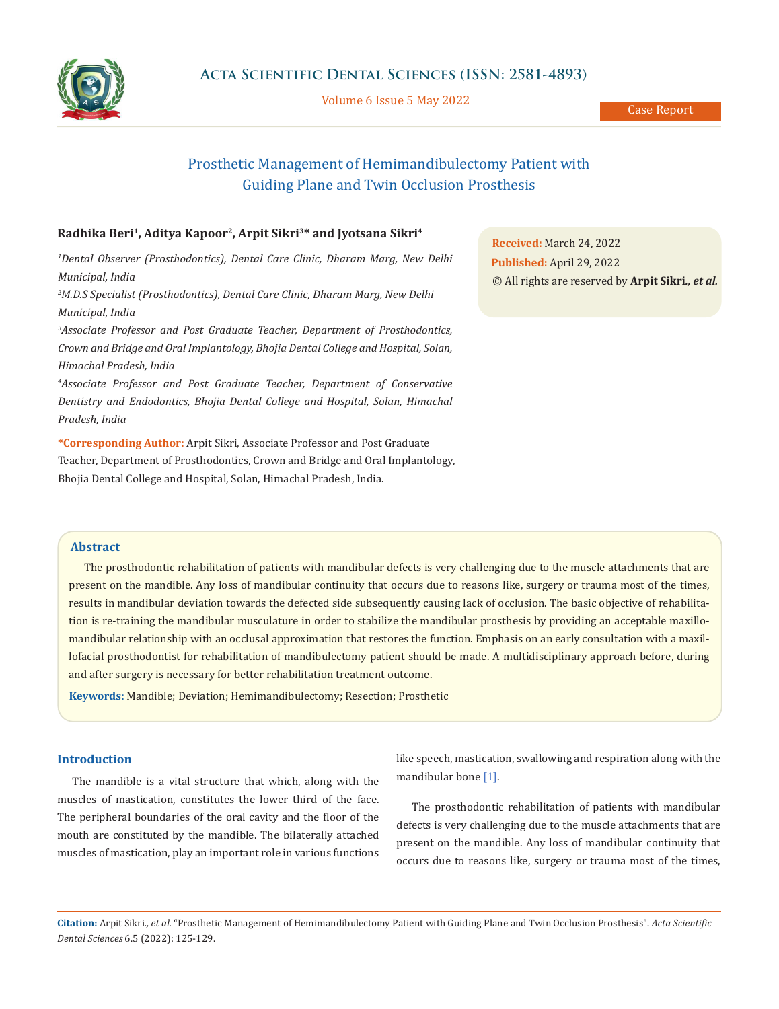

Volume 6 Issue 5 May 2022

Case Report

# Prosthetic Management of Hemimandibulectomy Patient with Guiding Plane and Twin Occlusion Prosthesis

# **Radhika Beri1, Aditya Kapoor2, Arpit Sikri3\* and Jyotsana Sikri4**

*1 Dental Observer (Prosthodontics), Dental Care Clinic, Dharam Marg, New Delhi Municipal, India*

*2 M.D.S Specialist (Prosthodontics), Dental Care Clinic, Dharam Marg, New Delhi Municipal, India*

*3 Associate Professor and Post Graduate Teacher, Department of Prosthodontics, Crown and Bridge and Oral Implantology, Bhojia Dental College and Hospital, Solan, Himachal Pradesh, India*

*4 Associate Professor and Post Graduate Teacher, Department of Conservative Dentistry and Endodontics, Bhojia Dental College and Hospital, Solan, Himachal Pradesh, India*

**\*Corresponding Author:** Arpit Sikri, Associate Professor and Post Graduate Teacher, Department of Prosthodontics, Crown and Bridge and Oral Implantology, Bhojia Dental College and Hospital, Solan, Himachal Pradesh, India.

**Received:** March 24, 2022 **Published:** April 29, 2022 © All rights are reserved by **Arpit Sikri***., et al.*

# **Abstract**

The prosthodontic rehabilitation of patients with mandibular defects is very challenging due to the muscle attachments that are present on the mandible. Any loss of mandibular continuity that occurs due to reasons like, surgery or trauma most of the times, results in mandibular deviation towards the defected side subsequently causing lack of occlusion. The basic objective of rehabilitation is re-training the mandibular musculature in order to stabilize the mandibular prosthesis by providing an acceptable maxillomandibular relationship with an occlusal approximation that restores the function. Emphasis on an early consultation with a maxillofacial prosthodontist for rehabilitation of mandibulectomy patient should be made. A multidisciplinary approach before, during and after surgery is necessary for better rehabilitation treatment outcome.

**Keywords:** Mandible; Deviation; Hemimandibulectomy; Resection; Prosthetic

## **Introduction**

The mandible is a vital structure that which, along with the muscles of mastication, constitutes the lower third of the face. The peripheral boundaries of the oral cavity and the floor of the mouth are constituted by the mandible. The bilaterally attached muscles of mastication, play an important role in various functions like speech, mastication, swallowing and respiration along with the mandibular bone [1].

The prosthodontic rehabilitation of patients with mandibular defects is very challenging due to the muscle attachments that are present on the mandible. Any loss of mandibular continuity that occurs due to reasons like, surgery or trauma most of the times,

**Citation:** Arpit Sikri*., et al.* "Prosthetic Management of Hemimandibulectomy Patient with Guiding Plane and Twin Occlusion Prosthesis". *Acta Scientific Dental Sciences* 6.5 (2022): 125-129.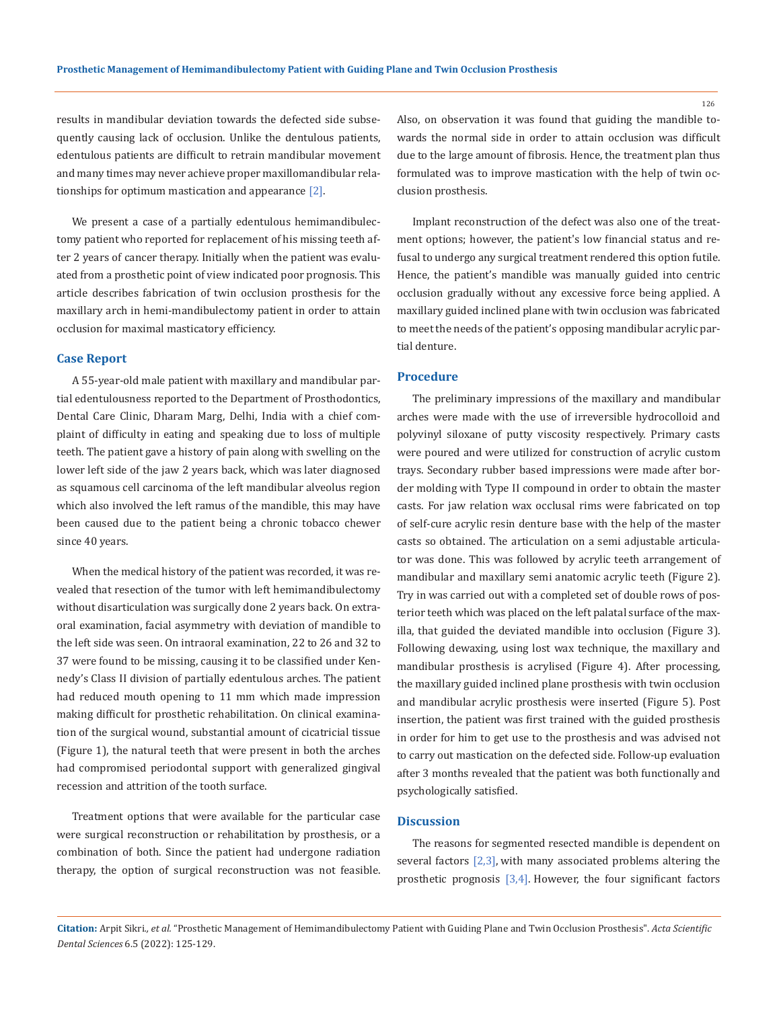results in mandibular deviation towards the defected side subsequently causing lack of occlusion. Unlike the dentulous patients, edentulous patients are difficult to retrain mandibular movement and many times may never achieve proper maxillomandibular relationships for optimum mastication and appearance [2].

We present a case of a partially edentulous hemimandibulectomy patient who reported for replacement of his missing teeth after 2 years of cancer therapy. Initially when the patient was evaluated from a prosthetic point of view indicated poor prognosis. This article describes fabrication of twin occlusion prosthesis for the maxillary arch in hemi-mandibulectomy patient in order to attain occlusion for maximal masticatory efficiency.

#### **Case Report**

A 55-year-old male patient with maxillary and mandibular partial edentulousness reported to the Department of Prosthodontics, Dental Care Clinic, Dharam Marg, Delhi, India with a chief complaint of difficulty in eating and speaking due to loss of multiple teeth. The patient gave a history of pain along with swelling on the lower left side of the jaw 2 years back, which was later diagnosed as squamous cell carcinoma of the left mandibular alveolus region which also involved the left ramus of the mandible, this may have been caused due to the patient being a chronic tobacco chewer since 40 years.

When the medical history of the patient was recorded, it was revealed that resection of the tumor with left hemimandibulectomy without disarticulation was surgically done 2 years back. On extraoral examination, facial asymmetry with deviation of mandible to the left side was seen. On intraoral examination, 22 to 26 and 32 to 37 were found to be missing, causing it to be classified under Kennedy's Class II division of partially edentulous arches. The patient had reduced mouth opening to 11 mm which made impression making difficult for prosthetic rehabilitation. On clinical examination of the surgical wound, substantial amount of cicatricial tissue (Figure 1), the natural teeth that were present in both the arches had compromised periodontal support with generalized gingival recession and attrition of the tooth surface.

Treatment options that were available for the particular case were surgical reconstruction or rehabilitation by prosthesis, or a combination of both. Since the patient had undergone radiation therapy, the option of surgical reconstruction was not feasible. Also, on observation it was found that guiding the mandible towards the normal side in order to attain occlusion was difficult due to the large amount of fibrosis. Hence, the treatment plan thus formulated was to improve mastication with the help of twin occlusion prosthesis.

Implant reconstruction of the defect was also one of the treatment options; however, the patient's low financial status and refusal to undergo any surgical treatment rendered this option futile. Hence, the patient's mandible was manually guided into centric occlusion gradually without any excessive force being applied. A maxillary guided inclined plane with twin occlusion was fabricated to meet the needs of the patient's opposing mandibular acrylic partial denture.

## **Procedure**

The preliminary impressions of the maxillary and mandibular arches were made with the use of irreversible hydrocolloid and polyvinyl siloxane of putty viscosity respectively. Primary casts were poured and were utilized for construction of acrylic custom trays. Secondary rubber based impressions were made after border molding with Type II compound in order to obtain the master casts. For jaw relation wax occlusal rims were fabricated on top of self-cure acrylic resin denture base with the help of the master casts so obtained. The articulation on a semi adjustable articulator was done. This was followed by acrylic teeth arrangement of mandibular and maxillary semi anatomic acrylic teeth (Figure 2). Try in was carried out with a completed set of double rows of posterior teeth which was placed on the left palatal surface of the maxilla, that guided the deviated mandible into occlusion (Figure 3). Following dewaxing, using lost wax technique, the maxillary and mandibular prosthesis is acrylised (Figure 4). After processing, the maxillary guided inclined plane prosthesis with twin occlusion and mandibular acrylic prosthesis were inserted (Figure 5). Post insertion, the patient was first trained with the guided prosthesis in order for him to get use to the prosthesis and was advised not to carry out mastication on the defected side. Follow-up evaluation after 3 months revealed that the patient was both functionally and psychologically satisfied.

# **Discussion**

The reasons for segmented resected mandible is dependent on several factors  $[2,3]$ , with many associated problems altering the prosthetic prognosis [3,4]. However, the four significant factors

126

**Citation:** Arpit Sikri*., et al.* "Prosthetic Management of Hemimandibulectomy Patient with Guiding Plane and Twin Occlusion Prosthesis". *Acta Scientific Dental Sciences* 6.5 (2022): 125-129.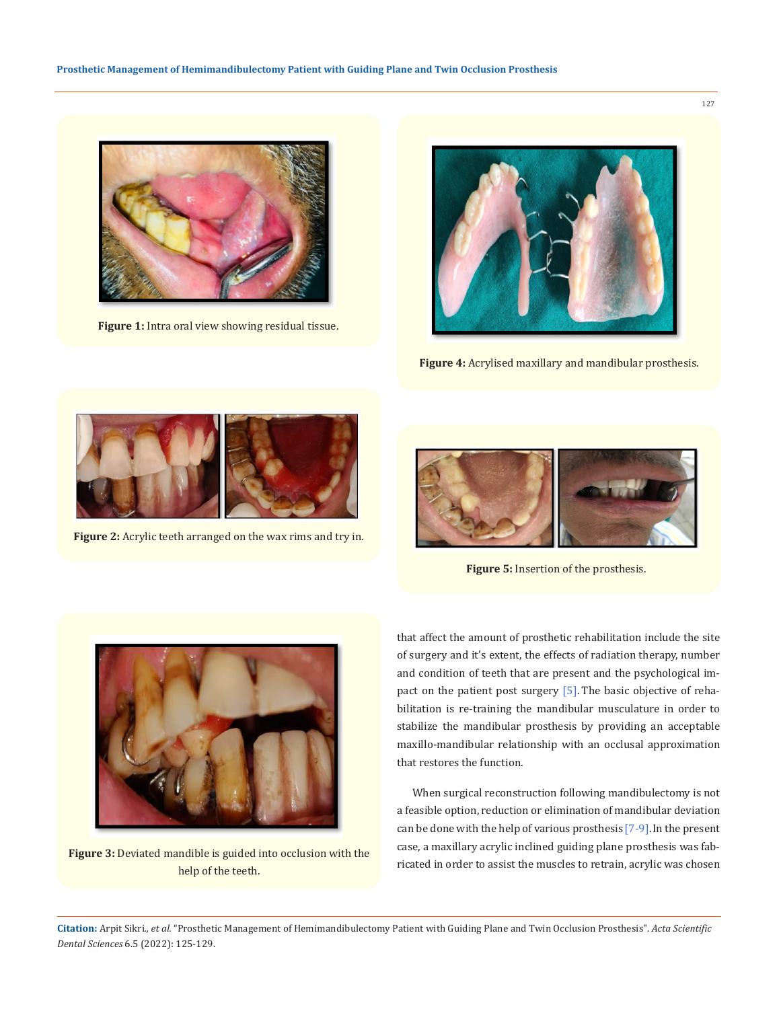

**Figure 1:** Intra oral view showing residual tissue.



**Figure 4:** Acrylised maxillary and mandibular prosthesis.



**Figure 2:** Acrylic teeth arranged on the wax rims and try in.



**Figure 5:** Insertion of the prosthesis.



Figure 3: Deviated mandible is guided into occlusion with the help of the teeth.

that affect the amount of prosthetic rehabilitation include the site of surgery and it's extent, the effects of radiation therapy, number and condition of teeth that are present and the psychological impact on the patient post surgery [5]. The basic objective of rehabilitation is re-training the mandibular musculature in order to stabilize the mandibular prosthesis by providing an acceptable maxillo-mandibular relationship with an occlusal approximation that restores the function.

When surgical reconstruction following mandibulectomy is not a feasible option, reduction or elimination of mandibular deviation can be done with the help of various prosthesis[7-9].In the present case, a maxillary acrylic inclined guiding plane prosthesis was fabricated in order to assist the muscles to retrain, acrylic was chosen

**Citation:** Arpit Sikri*., et al.* "Prosthetic Management of Hemimandibulectomy Patient with Guiding Plane and Twin Occlusion Prosthesis". *Acta Scientific Dental Sciences* 6.5 (2022): 125-129.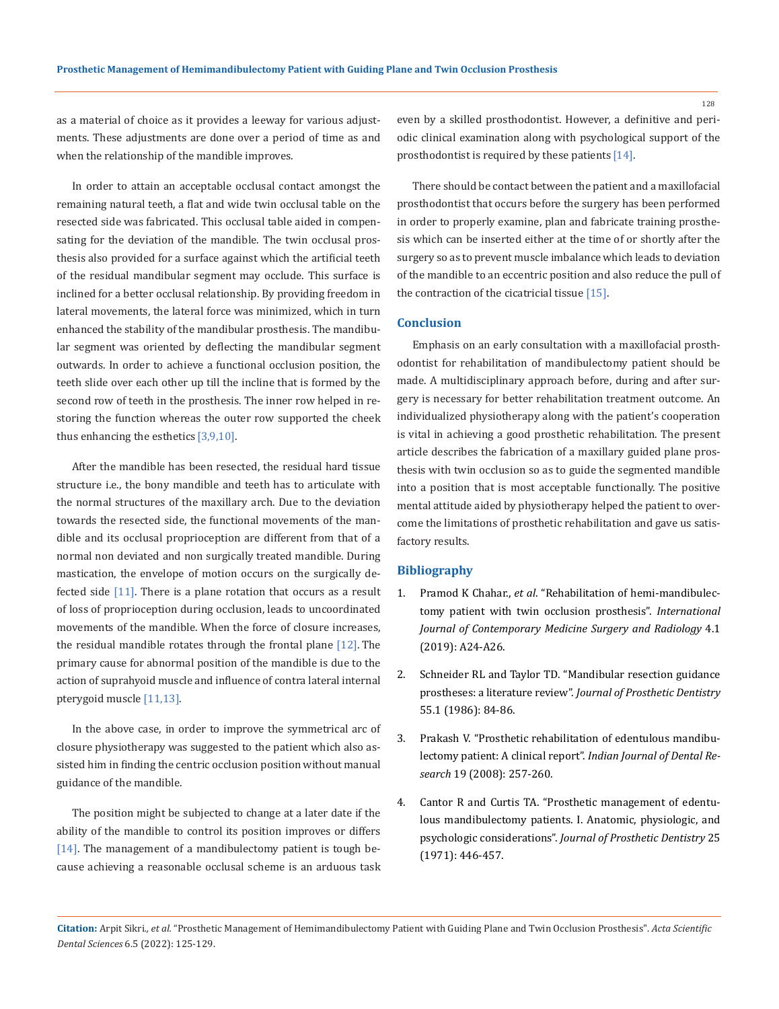as a material of choice as it provides a leeway for various adjustments. These adjustments are done over a period of time as and when the relationship of the mandible improves.

In order to attain an acceptable occlusal contact amongst the remaining natural teeth, a flat and wide twin occlusal table on the resected side was fabricated. This occlusal table aided in compensating for the deviation of the mandible. The twin occlusal prosthesis also provided for a surface against which the artificial teeth of the residual mandibular segment may occlude. This surface is inclined for a better occlusal relationship. By providing freedom in lateral movements, the lateral force was minimized, which in turn enhanced the stability of the mandibular prosthesis. The mandibular segment was oriented by deflecting the mandibular segment outwards. In order to achieve a functional occlusion position, the teeth slide over each other up till the incline that is formed by the second row of teeth in the prosthesis. The inner row helped in restoring the function whereas the outer row supported the cheek thus enhancing the esthetics [3,9,10].

After the mandible has been resected, the residual hard tissue structure i.e., the bony mandible and teeth has to articulate with the normal structures of the maxillary arch. Due to the deviation towards the resected side, the functional movements of the mandible and its occlusal proprioception are different from that of a normal non deviated and non surgically treated mandible. During mastication, the envelope of motion occurs on the surgically defected side  $[11]$ . There is a plane rotation that occurs as a result of loss of proprioception during occlusion, leads to uncoordinated movements of the mandible. When the force of closure increases, the residual mandible rotates through the frontal plane  $[12]$ . The primary cause for abnormal position of the mandible is due to the action of suprahyoid muscle and influence of contra lateral internal pterygoid muscle [11,13].

In the above case, in order to improve the symmetrical arc of closure physiotherapy was suggested to the patient which also assisted him in finding the centric occlusion position without manual guidance of the mandible.

The position might be subjected to change at a later date if the ability of the mandible to control its position improves or differs  $[14]$ . The management of a mandibulectomy patient is tough because achieving a reasonable occlusal scheme is an arduous task even by a skilled prosthodontist. However, a definitive and periodic clinical examination along with psychological support of the prosthodontist is required by these patients [14].

There should be contact between the patient and a maxillofacial prosthodontist that occurs before the surgery has been performed in order to properly examine, plan and fabricate training prosthesis which can be inserted either at the time of or shortly after the surgery so as to prevent muscle imbalance which leads to deviation of the mandible to an eccentric position and also reduce the pull of the contraction of the cicatricial tissue [15].

#### **Conclusion**

Emphasis on an early consultation with a maxillofacial prosthodontist for rehabilitation of mandibulectomy patient should be made. A multidisciplinary approach before, during and after surgery is necessary for better rehabilitation treatment outcome. An individualized physiotherapy along with the patient's cooperation is vital in achieving a good prosthetic rehabilitation. The present article describes the fabrication of a maxillary guided plane prosthesis with twin occlusion so as to guide the segmented mandible into a position that is most acceptable functionally. The positive mental attitude aided by physiotherapy helped the patient to overcome the limitations of prosthetic rehabilitation and gave us satisfactory results.

#### **Bibliography**

- 1. Pramod K Chahar., *et al*[. "Rehabilitation of hemi-mandibulec](https://www.ijcmsr.com/uploads/1/0/2/7/102704056/ijcmsr_190_v3_1.pdf)[tomy patient with twin occlusion prosthesis".](https://www.ijcmsr.com/uploads/1/0/2/7/102704056/ijcmsr_190_v3_1.pdf) *International [Journal of Contemporary Medicine Surgery and Radiology](https://www.ijcmsr.com/uploads/1/0/2/7/102704056/ijcmsr_190_v3_1.pdf)* 4.1 [\(2019\): A24-A26.](https://www.ijcmsr.com/uploads/1/0/2/7/102704056/ijcmsr_190_v3_1.pdf)
- 2. [Schneider RL and Taylor TD. "Mandibular resection guidance](https://pubmed.ncbi.nlm.nih.gov/3511245/)  prostheses: a literature review". *[Journal of Prosthetic Dentistry](https://pubmed.ncbi.nlm.nih.gov/3511245/)* [55.1 \(1986\): 84-86.](https://pubmed.ncbi.nlm.nih.gov/3511245/)
- 3. [Prakash V. "Prosthetic rehabilitation of edentulous mandibu](https://pubmed.ncbi.nlm.nih.gov/18797105/)[lectomy patient: A clinical report".](https://pubmed.ncbi.nlm.nih.gov/18797105/) *Indian Journal of Dental Research* [19 \(2008\): 257-260.](https://pubmed.ncbi.nlm.nih.gov/18797105/)
- 4. [Cantor R and Curtis TA. "Prosthetic management of edentu](https://pubmed.ncbi.nlm.nih.gov/5279015/)[lous mandibulectomy patients. I. Anatomic, physiologic, and](https://pubmed.ncbi.nlm.nih.gov/5279015/)  psychologic considerations". *[Journal of Prosthetic Dentistry](https://pubmed.ncbi.nlm.nih.gov/5279015/)* 25 [\(1971\): 446-457.](https://pubmed.ncbi.nlm.nih.gov/5279015/)

128

**Citation:** Arpit Sikri*., et al.* "Prosthetic Management of Hemimandibulectomy Patient with Guiding Plane and Twin Occlusion Prosthesis". *Acta Scientific Dental Sciences* 6.5 (2022): 125-129.